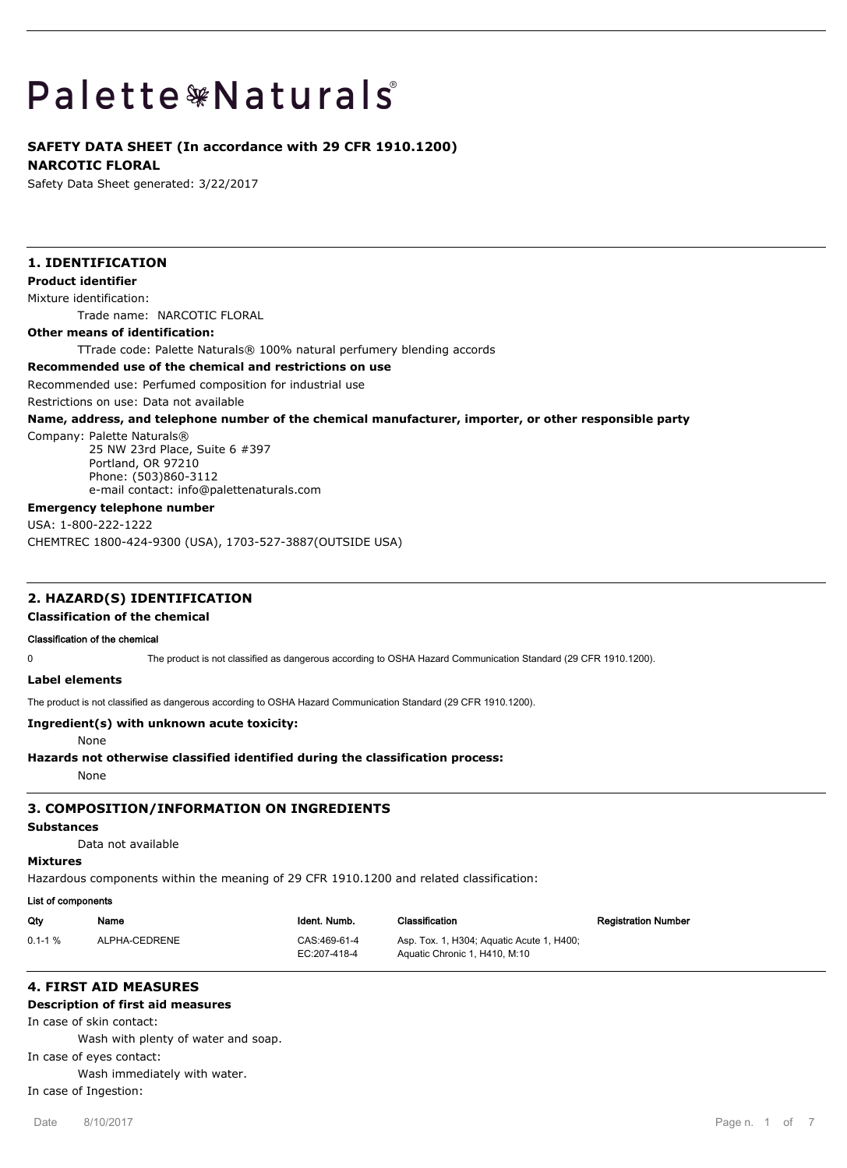# **Palette \*Naturals**

# **SAFETY DATA SHEET (In accordance with 29 CFR 1910.1200)**

**NARCOTIC FLORAL**

Safety Data Sheet generated: 3/22/2017

# **1. IDENTIFICATION**

## **Product identifier**

Mixture identification:

Trade name: NARCOTIC FLORAL

#### **Other means of identification:**

TTrade code: Palette Naturals® 100% natural perfumery blending accords

## **Recommended use of the chemical and restrictions on use**

Recommended use: Perfumed composition for industrial use

Restrictions on use: Data not available

#### **Name, address, and telephone number of the chemical manufacturer, importer, or other responsible party**

Company: Palette Naturals®

25 NW 23rd Place, Suite 6 #397 Portland, OR 97210 Phone: (503)860-3112 e-mail contact: info@palettenaturals.com

#### **Emergency telephone number**

USA: 1-800-222-1222

CHEMTREC 1800-424-9300 (USA), 1703-527-3887(OUTSIDE USA)

## **2. HAZARD(S) IDENTIFICATION**

**Classification of the chemical**

#### **Classification of the chemical**

0 The product is not classified as dangerous according to OSHA Hazard Communication Standard (29 CFR 1910.1200).

**Label elements**

The product is not classified as dangerous according to OSHA Hazard Communication Standard (29 CFR 1910.1200).

## **Ingredient(s) with unknown acute toxicity:**

None

## **Hazards not otherwise classified identified during the classification process:**

None

## **3. COMPOSITION/INFORMATION ON INGREDIENTS**

## **Substances**

Data not available

## **Mixtures**

Hazardous components within the meaning of 29 CFR 1910.1200 and related classification:

## **List of components**

| Qty        | Name          | Ident. Numb.                 | Classification                                                             | <b>Registration Number</b> |
|------------|---------------|------------------------------|----------------------------------------------------------------------------|----------------------------|
| $0.1 - 1%$ | ALPHA-CEDRENE | CAS:469-61-4<br>EC:207-418-4 | Asp. Tox. 1, H304; Aguatic Acute 1, H400;<br>Aquatic Chronic 1, H410, M:10 |                            |

# **4. FIRST AID MEASURES**

## **Description of first aid measures**

In case of skin contact:

Wash with plenty of water and soap.

In case of eyes contact:

Wash immediately with water.

In case of Ingestion: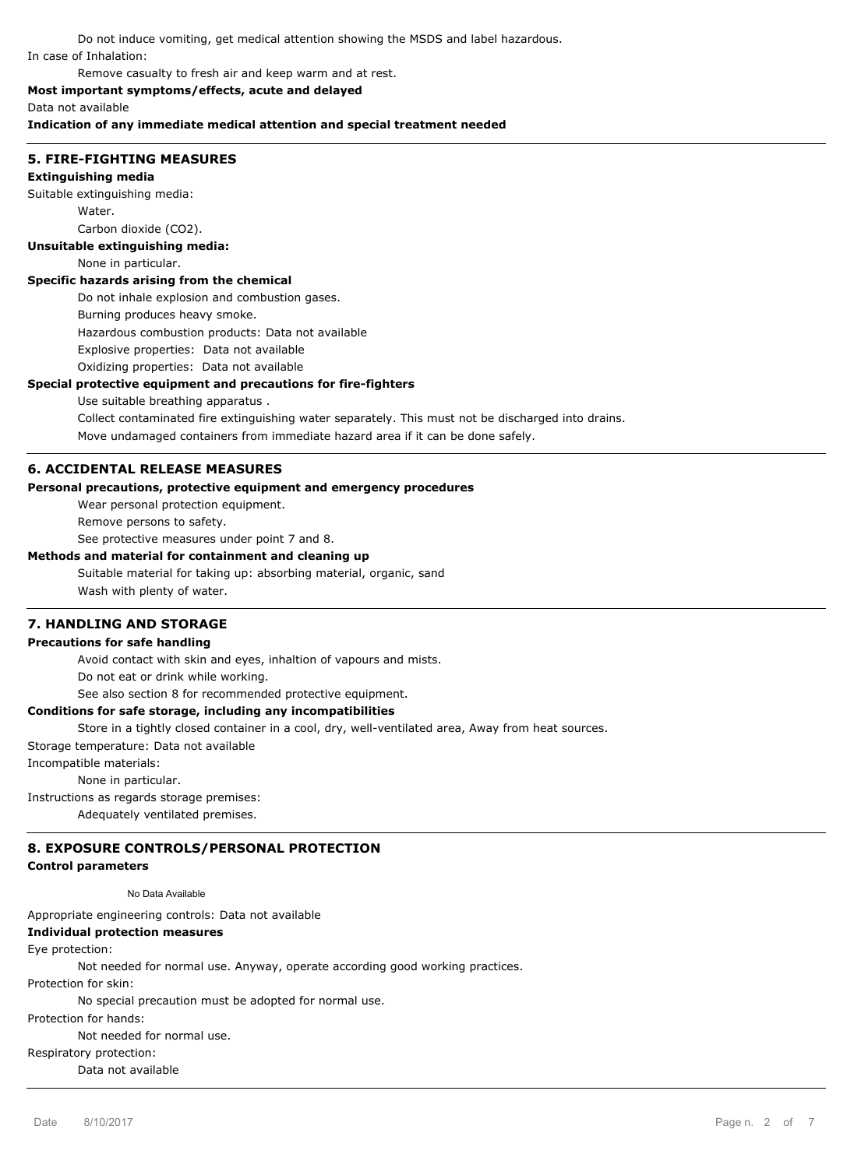Do not induce vomiting, get medical attention showing the MSDS and label hazardous. In case of Inhalation:

Remove casualty to fresh air and keep warm and at rest.

#### **Most important symptoms/effects, acute and delayed**

Data not available

**Indication of any immediate medical attention and special treatment needed**

## **5. FIRE-FIGHTING MEASURES**

#### **Extinguishing media**

Suitable extinguishing media:

Water.

#### Carbon dioxide (CO2).

**Unsuitable extinguishing media:**

#### None in particular.

#### **Specific hazards arising from the chemical**

Do not inhale explosion and combustion gases.

Burning produces heavy smoke.

Hazardous combustion products: Data not available

Explosive properties: Data not available

Oxidizing properties: Data not available

#### **Special protective equipment and precautions for fire-fighters**

#### Use suitable breathing apparatus .

Collect contaminated fire extinguishing water separately. This must not be discharged into drains. Move undamaged containers from immediate hazard area if it can be done safely.

#### **6. ACCIDENTAL RELEASE MEASURES**

## **Personal precautions, protective equipment and emergency procedures**

Wear personal protection equipment.

Remove persons to safety.

See protective measures under point 7 and 8.

#### **Methods and material for containment and cleaning up**

Suitable material for taking up: absorbing material, organic, sand Wash with plenty of water.

### **7. HANDLING AND STORAGE**

## **Precautions for safe handling**

Avoid contact with skin and eyes, inhaltion of vapours and mists.

Do not eat or drink while working.

See also section 8 for recommended protective equipment.

### **Conditions for safe storage, including any incompatibilities**

Store in a tightly closed container in a cool, dry, well-ventilated area, Away from heat sources.

Storage temperature: Data not available

Incompatible materials:

None in particular.

Instructions as regards storage premises:

Adequately ventilated premises.

## **8. EXPOSURE CONTROLS/PERSONAL PROTECTION**

## **Control parameters**

No Data Available

Appropriate engineering controls: Data not available

## **Individual protection measures**

Eye protection:

Not needed for normal use. Anyway, operate according good working practices.

Protection for skin:

No special precaution must be adopted for normal use.

Protection for hands:

Not needed for normal use.

Respiratory protection:

Data not available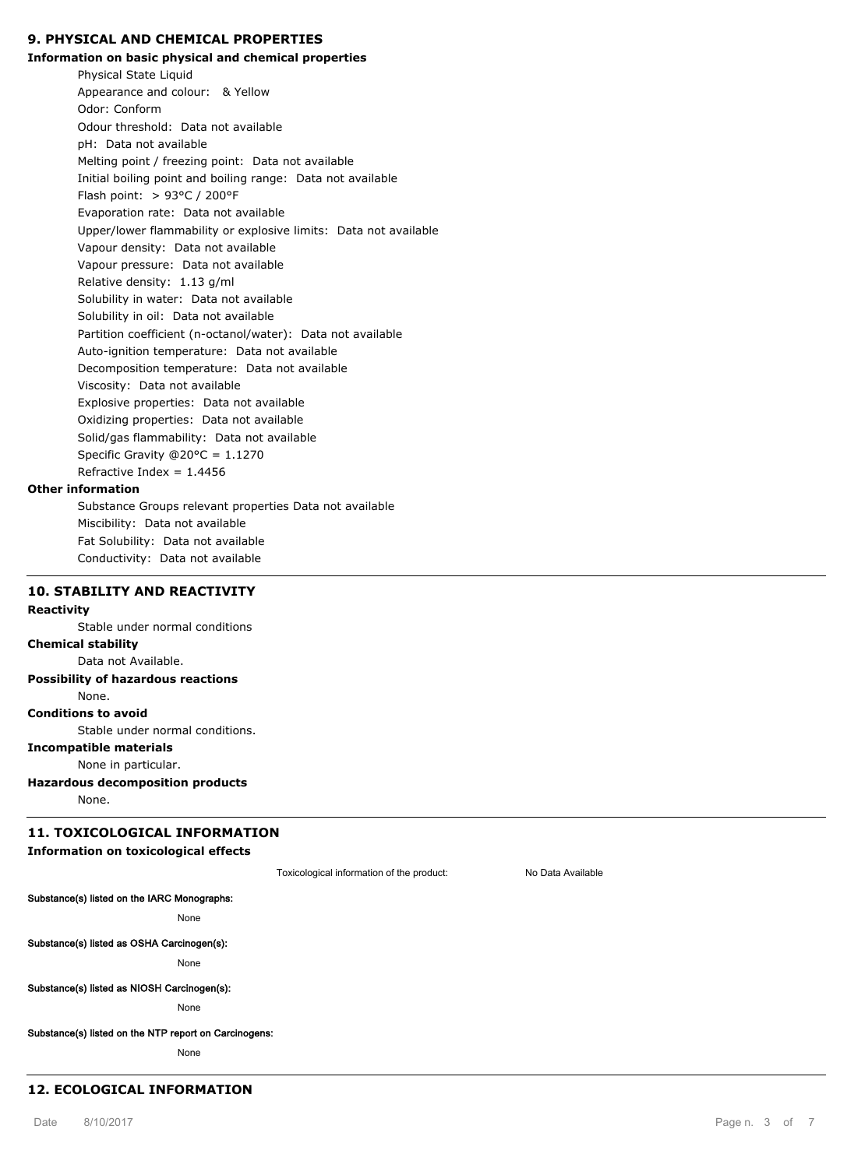## **9. PHYSICAL AND CHEMICAL PROPERTIES**

#### **Information on basic physical and chemical properties**

Physical State Liquid Appearance and colour: & Yellow Odor: Conform Odour threshold: Data not available pH: Data not available Melting point / freezing point: Data not available Initial boiling point and boiling range: Data not available Flash point: > 93°C / 200°F Evaporation rate: Data not available Upper/lower flammability or explosive limits: Data not available Vapour density: Data not available Vapour pressure: Data not available Relative density: 1.13 g/ml Solubility in water: Data not available Solubility in oil: Data not available Partition coefficient (n-octanol/water): Data not available Auto-ignition temperature: Data not available Decomposition temperature: Data not available Viscosity: Data not available Explosive properties: Data not available Oxidizing properties: Data not available Solid/gas flammability: Data not available Specific Gravity @20°C = 1.1270 Refractive Index =  $1.4456$ Substance Groups relevant properties Data not available

#### **Other information**

Miscibility: Data not available Fat Solubility: Data not available Conductivity: Data not available

## **10. STABILITY AND REACTIVITY**

#### **Reactivity**

Stable under normal conditions

## **Chemical stability**

Data not Available.

**Possibility of hazardous reactions**

None.

## **Conditions to avoid**

Stable under normal conditions.

## **Incompatible materials**

None in particular.

## **Hazardous decomposition products**

None.

## **11. TOXICOLOGICAL INFORMATION**

## **Information on toxicological effects**

Toxicological information of the product: No Data Available

# **Substance(s) listed on the IARC Monographs:**

None

#### **Substance(s) listed as OSHA Carcinogen(s):**

None

#### **Substance(s) listed as NIOSH Carcinogen(s):**

None

#### **Substance(s) listed on the NTP report on Carcinogens:**

None

#### **12. ECOLOGICAL INFORMATION**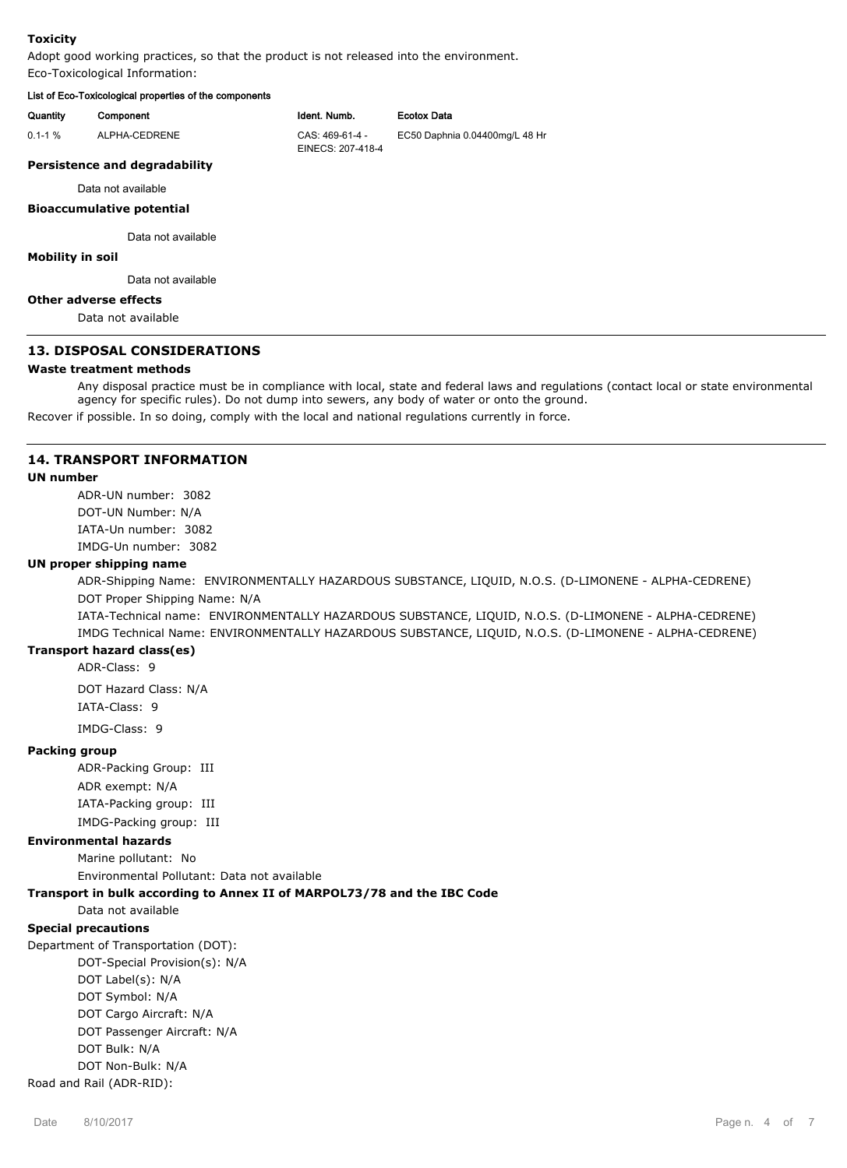#### **Toxicity**

Adopt good working practices, so that the product is not released into the environment. Eco-Toxicological Information:

## **List of Eco-Toxicological properties of the components**

| mot or moo restreated and properties or the components |                                      |                                |
|--------------------------------------------------------|--------------------------------------|--------------------------------|
| Component                                              | Ident. Numb.                         | <b>Ecotox Data</b>             |
| ALPHA-CEDRENE                                          | CAS: 469-61-4 -<br>EINECS: 207-418-4 | EC50 Daphnia 0.04400mg/L 48 Hr |
| <b>Persistence and degradability</b>                   |                                      |                                |
| Data not available                                     |                                      |                                |
| <b>Bioaccumulative potential</b>                       |                                      |                                |
| Data not available                                     |                                      |                                |
| <b>Mobility in soil</b>                                |                                      |                                |
| Data not available                                     |                                      |                                |
|                                                        |                                      |                                |

#### **Other adverse effects**

Data not available

## **13. DISPOSAL CONSIDERATIONS**

#### **Waste treatment methods**

Any disposal practice must be in compliance with local, state and federal laws and regulations (contact local or state environmental agency for specific rules). Do not dump into sewers, any body of water or onto the ground.

Recover if possible. In so doing, comply with the local and national regulations currently in force.

#### **14. TRANSPORT INFORMATION**

## **UN number**

ADR-UN number: 3082 DOT-UN Number: N/A IATA-Un number: 3082 IMDG-Un number: 3082

#### **UN proper shipping name**

ADR-Shipping Name: ENVIRONMENTALLY HAZARDOUS SUBSTANCE, LIQUID, N.O.S. (D-LIMONENE - ALPHA-CEDRENE) DOT Proper Shipping Name: N/A

IATA-Technical name: ENVIRONMENTALLY HAZARDOUS SUBSTANCE, LIQUID, N.O.S. (D-LIMONENE - ALPHA-CEDRENE) IMDG Technical Name: ENVIRONMENTALLY HAZARDOUS SUBSTANCE, LIQUID, N.O.S. (D-LIMONENE - ALPHA-CEDRENE)

### **Transport hazard class(es)**

ADR-Class: 9

DOT Hazard Class: N/A IATA-Class: 9

# IMDG-Class: 9

## **Packing group**

ADR-Packing Group: III ADR exempt: N/A IATA-Packing group: III IMDG-Packing group: III

#### **Environmental hazards**

Marine pollutant: No

Environmental Pollutant: Data not available

## **Transport in bulk according to Annex II of MARPOL73/78 and the IBC Code**

Data not available

## **Special precautions**

Department of Transportation (DOT): DOT-Special Provision(s): N/A DOT Label(s): N/A

DOT Symbol: N/A

DOT Cargo Aircraft: N/A

DOT Passenger Aircraft: N/A

DOT Bulk: N/A

DOT Non-Bulk: N/A

Road and Rail (ADR-RID):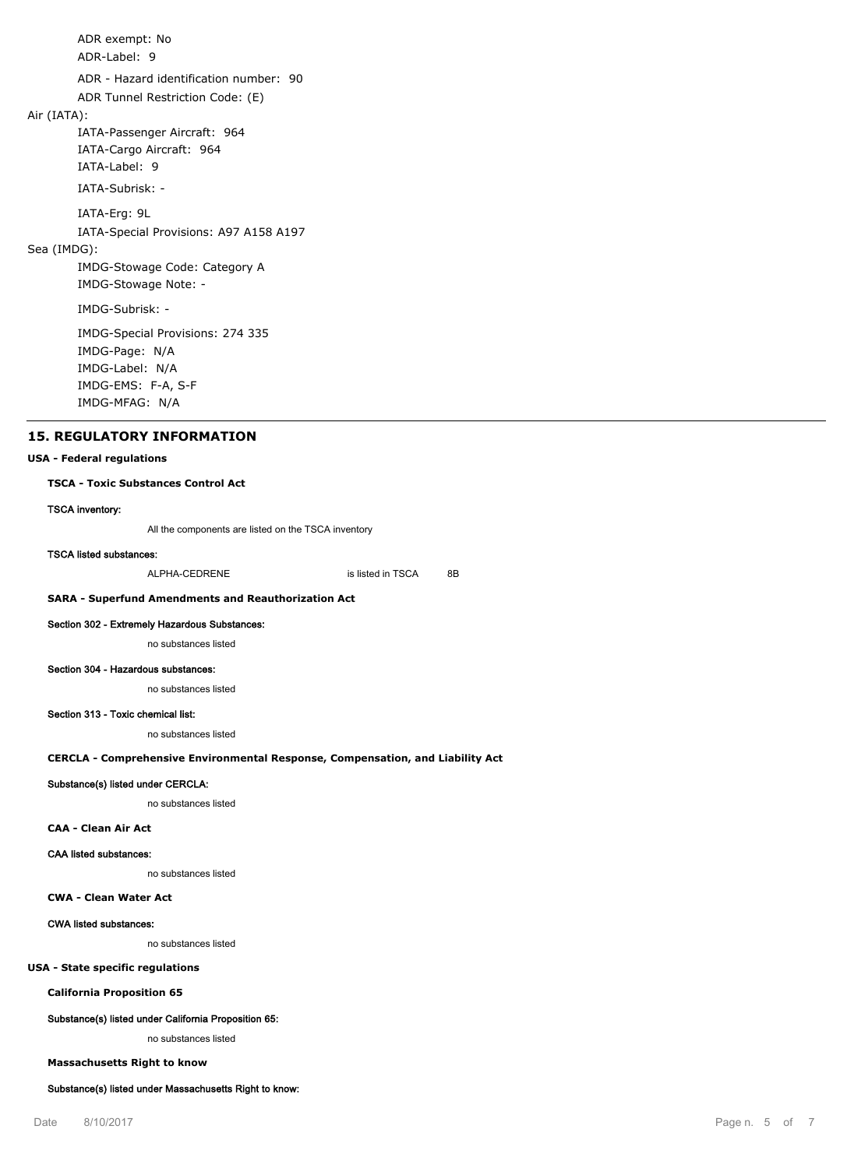ADR exempt: No

ADR-Label: 9

ADR - Hazard identification number: 90

ADR Tunnel Restriction Code: (E)

## Air (IATA):

IATA-Passenger Aircraft: 964 IATA-Cargo Aircraft: 964 IATA-Label: 9

IATA-Subrisk: -

IATA-Erg: 9L

IATA-Special Provisions: A97 A158 A197

## Sea (IMDG):

IMDG-Stowage Code: Category A IMDG-Stowage Note: -

IMDG-Subrisk: -

IMDG-Special Provisions: 274 335 IMDG-Page: N/A IMDG-Label: N/A IMDG-EMS: F-A, S-F IMDG-MFAG: N/A

## **15. REGULATORY INFORMATION**

#### **USA - Federal regulations**

#### **TSCA - Toxic Substances Control Act**

#### **TSCA inventory:**

All the components are listed on the TSCA inventory

#### **TSCA listed substances:**

ALPHA-CEDRENE is listed in TSCA 8B

## **SARA - Superfund Amendments and Reauthorization Act**

#### **Section 302 - Extremely Hazardous Substances:**

no substances listed

#### **Section 304 - Hazardous substances:**

no substances listed

#### **Section 313 - Toxic chemical list:**

no substances listed

#### **CERCLA - Comprehensive Environmental Response, Compensation, and Liability Act**

#### **Substance(s) listed under CERCLA:**

no substances listed

#### **CAA - Clean Air Act**

#### **CAA listed substances:**

no substances listed

#### **CWA - Clean Water Act**

## **CWA listed substances:**

no substances listed

## **USA - State specific regulations**

**California Proposition 65**

#### **Substance(s) listed under California Proposition 65:**

no substances listed

#### **Massachusetts Right to know**

#### **Substance(s) listed under Massachusetts Right to know:**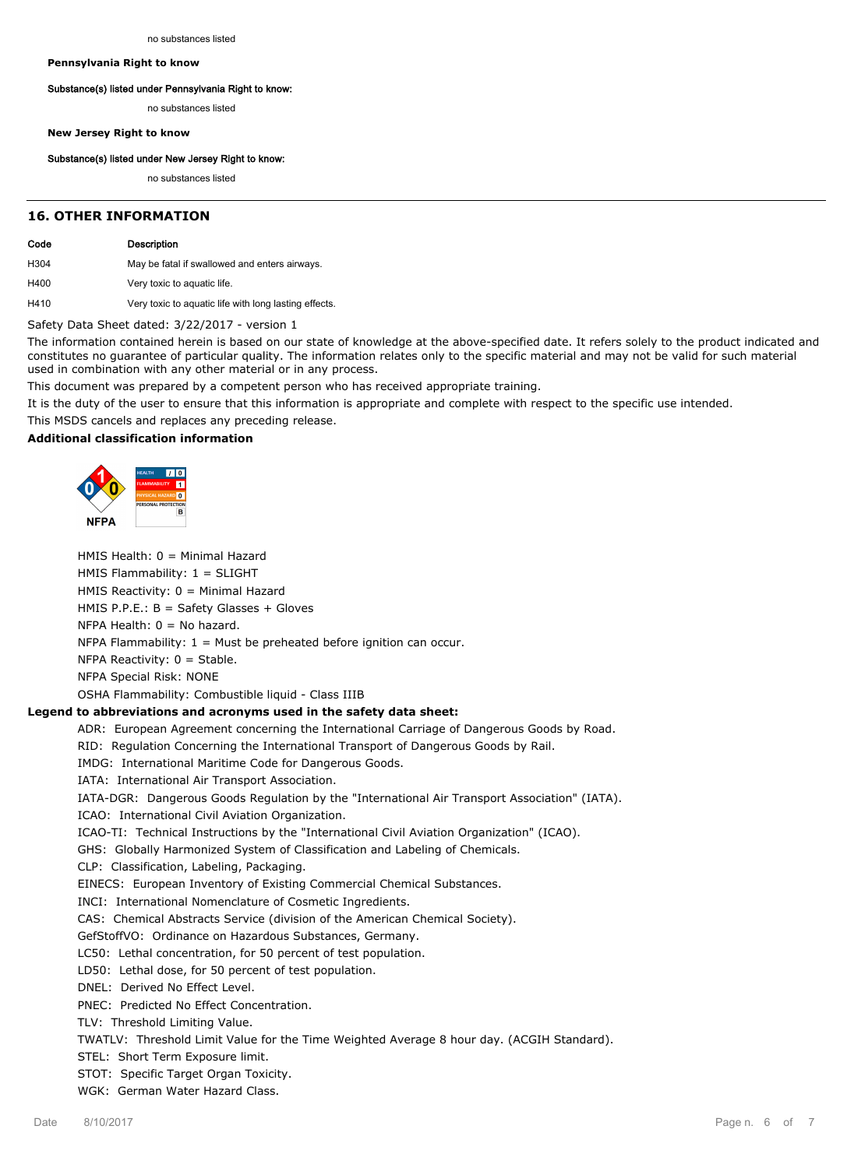**Pennsylvania Right to know**

#### **Substance(s) listed under Pennsylvania Right to know:**

no substances listed

**New Jersey Right to know**

#### **Substance(s) listed under New Jersey Right to know:**

no substances listed

#### **16. OTHER INFORMATION**

| Code | Description                                           |
|------|-------------------------------------------------------|
| H304 | May be fatal if swallowed and enters airways.         |
| H400 | Very toxic to aquatic life.                           |
| H410 | Very toxic to aquatic life with long lasting effects. |
|      | Safety Data Sheet dated: 3/22/2017 - version 1        |

The information contained herein is based on our state of knowledge at the above-specified date. It refers solely to the product indicated and constitutes no guarantee of particular quality. The information relates only to the specific material and may not be valid for such material used in combination with any other material or in any process.

This document was prepared by a competent person who has received appropriate training.

It is the duty of the user to ensure that this information is appropriate and complete with respect to the specific use intended.

This MSDS cancels and replaces any preceding release.

## **Additional classification information**



HMIS Health: 0 = Minimal Hazard

HMIS Flammability: 1 = SLIGHT

HMIS Reactivity: 0 = Minimal Hazard

HMIS P.P.E.: B = Safety Glasses + Gloves

NFPA Health:  $0 = No$  hazard.

NFPA Flammability:  $1 =$  Must be preheated before ignition can occur.

NFPA Reactivity: 0 = Stable.

NFPA Special Risk: NONE

OSHA Flammability: Combustible liquid - Class IIIB

#### **Legend to abbreviations and acronyms used in the safety data sheet:**

ADR: European Agreement concerning the International Carriage of Dangerous Goods by Road.

RID: Regulation Concerning the International Transport of Dangerous Goods by Rail.

IMDG: International Maritime Code for Dangerous Goods.

IATA: International Air Transport Association.

IATA-DGR: Dangerous Goods Regulation by the "International Air Transport Association" (IATA).

ICAO: International Civil Aviation Organization.

ICAO-TI: Technical Instructions by the "International Civil Aviation Organization" (ICAO).

GHS: Globally Harmonized System of Classification and Labeling of Chemicals.

CLP: Classification, Labeling, Packaging.

EINECS: European Inventory of Existing Commercial Chemical Substances.

INCI: International Nomenclature of Cosmetic Ingredients.

CAS: Chemical Abstracts Service (division of the American Chemical Society).

GefStoffVO: Ordinance on Hazardous Substances, Germany.

LC50: Lethal concentration, for 50 percent of test population.

LD50: Lethal dose, for 50 percent of test population.

DNEL: Derived No Effect Level.

PNEC: Predicted No Effect Concentration.

TLV: Threshold Limiting Value.

TWATLV: Threshold Limit Value for the Time Weighted Average 8 hour day. (ACGIH Standard).

STEL: Short Term Exposure limit.

STOT: Specific Target Organ Toxicity.

WGK: German Water Hazard Class.